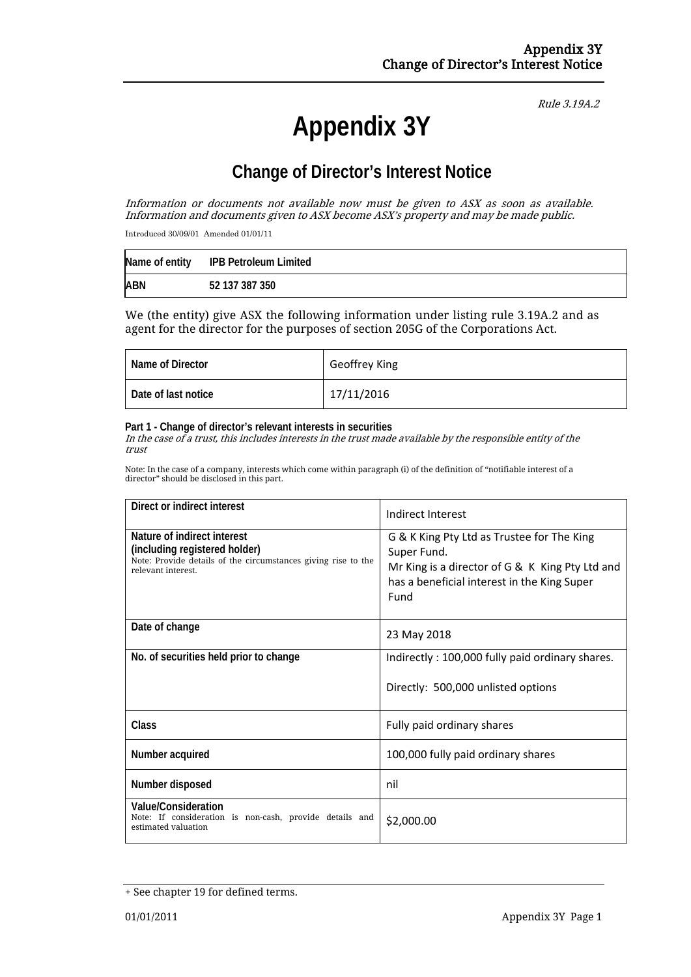Rule 3.19A.2

# **Appendix 3Y**

# **Change of Director's Interest Notice**

Information or documents not available now must be given to ASX as soon as available. Information and documents given to ASX become ASX's property and may be made public.

Introduced 30/09/01 Amended 01/01/11

|            | Name of entity IPB Petroleum Limited |
|------------|--------------------------------------|
| <b>ABN</b> | 52 137 387 350                       |

We (the entity) give ASX the following information under listing rule 3.19A.2 and as agent for the director for the purposes of section 205G of the Corporations Act.

| Name of Director    | Geoffrey King |
|---------------------|---------------|
| Date of last notice | 17/11/2016    |

### **Part 1 - Change of director's relevant interests in securities**

In the case of a trust, this includes interests in the trust made available by the responsible entity of the trust

Note: In the case of a company, interests which come within paragraph (i) of the definition of "notifiable interest of a director" should be disclosed in this part.

| Direct or indirect interest                                                                                                                         | Indirect Interest                                                                                                                                                   |  |
|-----------------------------------------------------------------------------------------------------------------------------------------------------|---------------------------------------------------------------------------------------------------------------------------------------------------------------------|--|
| Nature of indirect interest<br>(including registered holder)<br>Note: Provide details of the circumstances giving rise to the<br>relevant interest. | G & K King Pty Ltd as Trustee for The King<br>Super Fund.<br>Mr King is a director of G & K King Pty Ltd and<br>has a beneficial interest in the King Super<br>Fund |  |
| Date of change                                                                                                                                      | 23 May 2018                                                                                                                                                         |  |
| No. of securities held prior to change                                                                                                              | Indirectly: 100,000 fully paid ordinary shares.                                                                                                                     |  |
|                                                                                                                                                     | Directly: 500,000 unlisted options                                                                                                                                  |  |
| <b>Class</b>                                                                                                                                        | Fully paid ordinary shares                                                                                                                                          |  |
| Number acquired                                                                                                                                     | 100,000 fully paid ordinary shares                                                                                                                                  |  |
| Number disposed                                                                                                                                     | nil                                                                                                                                                                 |  |
| <b>Value/Consideration</b><br>Note: If consideration is non-cash, provide details and<br>estimated valuation                                        | \$2,000.00                                                                                                                                                          |  |

<sup>+</sup> See chapter 19 for defined terms.